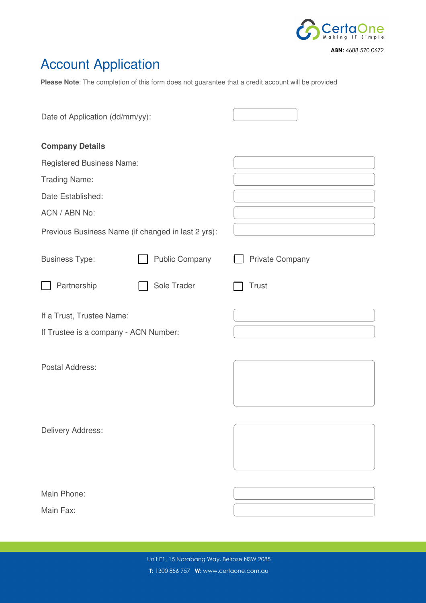

# Account Application

**Please Note**: The completion of this form does not guarantee that a credit account will be provided

| Date of Application (dd/mm/yy):                    |                       |                        |
|----------------------------------------------------|-----------------------|------------------------|
| <b>Company Details</b>                             |                       |                        |
| <b>Registered Business Name:</b>                   |                       |                        |
| <b>Trading Name:</b>                               |                       |                        |
| Date Established:                                  |                       |                        |
| ACN / ABN No:                                      |                       |                        |
| Previous Business Name (if changed in last 2 yrs): |                       |                        |
| <b>Business Type:</b>                              | <b>Public Company</b> | <b>Private Company</b> |
| Partnership                                        | Sole Trader           | <b>Trust</b>           |
| If a Trust, Trustee Name:                          |                       |                        |
| If Trustee is a company - ACN Number:              |                       |                        |
| Postal Address:                                    |                       |                        |
| Delivery Address:                                  |                       |                        |
| Main Phone:                                        |                       |                        |
| Main Fax:                                          |                       |                        |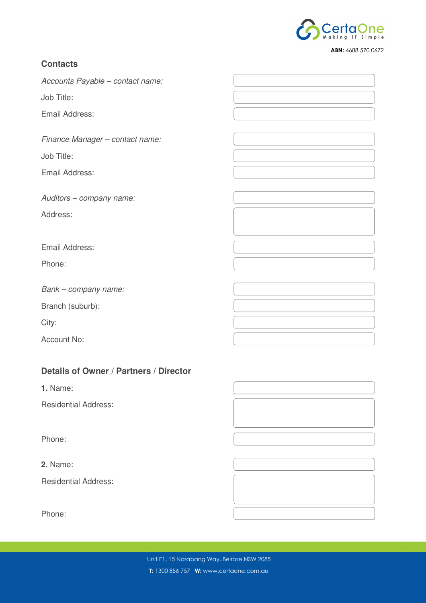

# **Contacts**

Accounts Payable – contact name:

Job Title:

Email Address:

Finance Manager – contact name:

Job Title:

Email Address:

Auditors – company name:

Address:

Email Address:

Phone:

Bank – company name:

Branch (suburb):

City:

Account No:

# **Details of Owner / Partners / Director**

**1.** Name:

Residential Address:

Phone:

**2.** Name:

Residential Address:

Phone: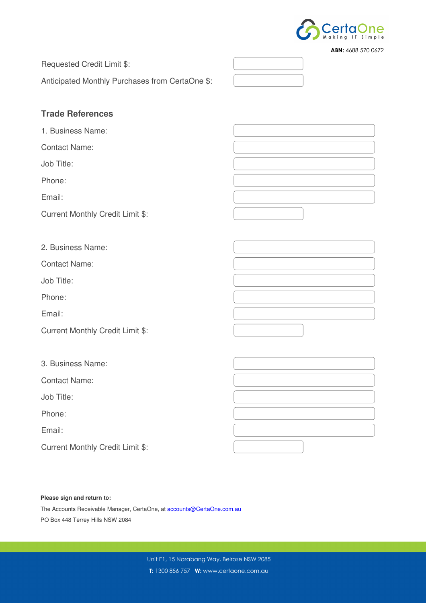

|  | <b>ABN:</b> 4688 570 0672 |
|--|---------------------------|
|  |                           |

Requested Credit Limit \$:

Anticipated Monthly Purchases from CertaOne \$:

# **Trade References**

1. Business Name:

Contact Name:

Job Title:

Phone:

Email:

Current Monthly Credit Limit \$:

2. Business Name:

Contact Name:

Job Title:

Phone:

Email:

Current Monthly Credit Limit \$:

3. Business Name:

Contact Name:

Job Title:

Phone:

Email:

Current Monthly Credit Limit \$:

## **Please sign and return to:**

The Accounts Receivable Manager, CertaOne, at **accounts@CertaOne.com.au** PO Box 448 Terrey Hills NSW 2084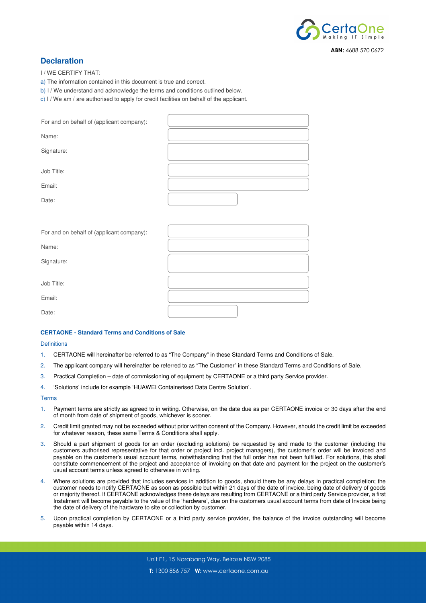

## **Declaration**

I / WE CERTIFY THAT:

- a) The information contained in this document is true and correct.
- b) I / We understand and acknowledge the terms and conditions outlined below.

c) I / We am / are authorised to apply for credit facilities on behalf of the applicant.

| For and on behalf of (applicant company): |  |
|-------------------------------------------|--|
| Name:                                     |  |
| Signature:                                |  |
| Job Title:                                |  |
| Email:                                    |  |
| Date:                                     |  |

| For and on behalf of (applicant company): |  |
|-------------------------------------------|--|
| Name:                                     |  |
| Signature:                                |  |
| Job Title:                                |  |
| Email:                                    |  |
| Date:                                     |  |

## **CERTAONE - Standard Terms and Conditions of Sale**

## **Definitions**

- 1. CERTAONE will hereinafter be referred to as "The Company" in these Standard Terms and Conditions of Sale.
- 2. The applicant company will hereinafter be referred to as "The Customer" in these Standard Terms and Conditions of Sale.
- 3. Practical Completion date of commissioning of equipment by CERTAONE or a third party Service provider.
- 4. 'Solutions' include for example 'HUAWEI Containerised Data Centre Solution'.

#### Terms

- 1. Payment terms are strictly as agreed to in writing. Otherwise, on the date due as per CERTAONE invoice or 30 days after the end of month from date of shipment of goods, whichever is sooner.
- 2. Credit limit granted may not be exceeded without prior written consent of the Company. However, should the credit limit be exceeded for whatever reason, these same Terms & Conditions shall apply.
- 3. Should a part shipment of goods for an order (excluding solutions) be requested by and made to the customer (including the customers authorised representative for that order or project incl. project managers), the customer's order will be invoiced and payable on the customer's usual account terms, notwithstanding that the full order has not been fulfilled. For solutions, this shall constitute commencement of the project and acceptance of invoicing on that date and payment for the project on the customer's usual account terms unless agreed to otherwise in writing.
- 4. Where solutions are provided that includes services in addition to goods, should there be any delays in practical completion; the customer needs to notify CERTAONE as soon as possible but within 21 days of the date of invoice, being date of delivery of goods or majority thereof. If CERTAONE acknowledges these delays are resulting from CERTAONE or a third party Service provider, a first Instalment will become payable to the value of the 'hardware', due on the customers usual account terms from date of Invoice being the date of delivery of the hardware to site or collection by customer.
- 5. Upon practical completion by CERTAONE or a third party service provider, the balance of the invoice outstanding will become payable within 14 days.